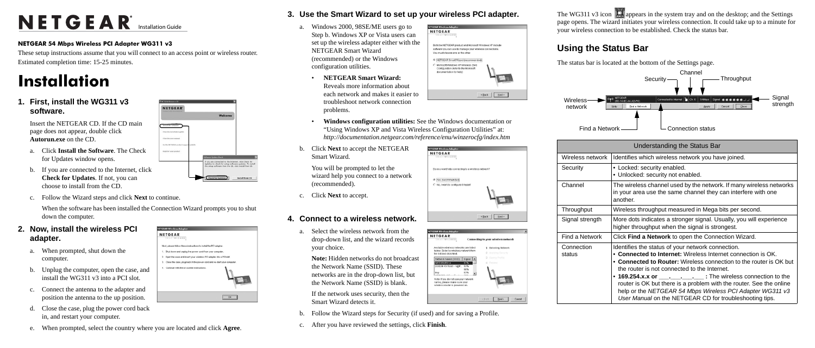# NETGEAR<sup>®</sup> Installation Guide

### **NETGEAR 54 Mbps Wireless PCI Adapter WG311 v3**

These setup instructions assume that you will connect to an access point or wireless router. Estimated completion time: 15-25 minutes.

## **Installation**

**1. First, install the WG311 v3 software.**

> Insert the NETGEAR CD. If the CD main page does not appear, double click **Autorun.exe** on the CD.

- a. Click **Install the Software**. The Check for Updates window opens.
- b. If you are connected to the Internet, click **Check for Updates**. If not, you can choose to install from the CD.
- c. Follow the Wizard steps and click **Next** to continue.

When the software has been installed the Connection Wizard prompts you to shut down the computer.

**TGEAR Wireless Adapte** 

Onen the case and insert your wireless PO adapter into a PO sixt

Continue with the on-screen instruction

. Close the case, plug back in the power cord and re-start your compute

 $\Box$  ok  $\Box$ 

NETGEAR

## **2. Now, install the wireless PCI adapter.**

- a. When prompted, shut down the computer.
- b. Unplug the computer, open the case, and install the WG311 v3 into a PCI slot.
- c. Connect the antenna to the adapter and position the antenna to the up position.
- d. Close the case, plug the power cord back in, and restart your computer.
- e. When prompted, select the country where you are located and click **Agree**.

## **3. Use the Smart Wizard to set up your wireless PCI adapter.**

The WG311 v3 icon  $\Box$  appears in the system tray and on the desktop; and the Settings page opens. The wizard initiates your wireless connection. It could take up to a minute for your wireless connection to be established. Check the status bar.

- a. Windows 2000, 98SE/ME users go to Step b. Windows XP or Vista users can set up the wireless adapter either with the NETGEAR Smart Wizard (recommended) or the Windows configuration utilities.
	- **NETGEAR Smart Wizard:** Reveals more information about each network and makes it easier to troubleshoot network connection problems.
	- **Windows configuration utilities:** See the Windows documentation or "Using Windows XP and Vista Wireless Configuration Utilities" at: *http://documentation.netgear.com/reference/enu/winzerocfg/index.htm*
- b. Click **Next** to accept the NETGEAR Smart Wizard.

You will be prompted to let the wizard help you connect to a network (recommended).

c. Click **Next** to accept.

**Wireless** network

| Wireless netv |
|---------------|
| Security      |
| Channel       |
| Throughput    |
| Signal streng |



## **4. Connect to a wireless network.**

a. Select the wireless network from the drop-down list, and the wizard records your choice.

**Note:** Hidden networks do not broadcast the Network Name (SSID). These networks are in the drop-down list, but the Network Name (SSID) is blank.

If the network uses security, then the Smart Wizard detects it.

- b. Follow the Wizard steps for Security (if used) and for saving a Profile.
- c. After you have reviewed the settings, click **Finish**.



- < Back | Next >

| ne status bar is |  |
|------------------|--|
|                  |  |
|                  |  |
|                  |  |

## **Using the Status Bar**

The status bar is located at the bottom of the Settings page.



# <sup>®</sup> Yes (recommended)



**NETGEAR Wireless Adapt** 

**TCFAD Wineless Ad**